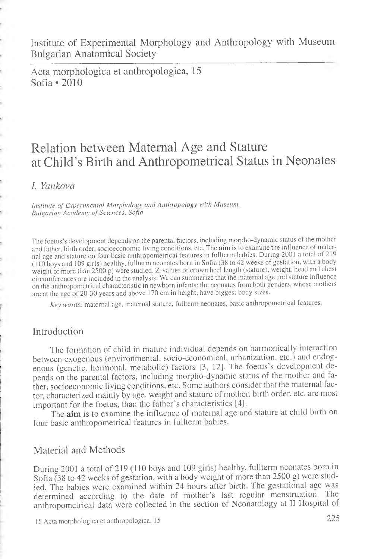Institute of Experimental Morphology and Anthropology with Museum Bulgarian Anatomical Society

Acta morphologica et anthropologica, 15 Sofia \*2010

# Relation between Maternal Age and Stature at Child's Birth and Anthropometrical Status in Neonates

### *I. Ycinkova*

*Institute of Experimental Morphology and Anthropology with Museum, Bulgarian Academy of Sciences, Sofia*

The foetus's development depends on the parental factors, including morpho-dynamic status of the mother and father, birth order, socioeconomic living conditions, etc. The **aim** is to examine the influence of maternal age and stature on four basic anthropometrical features in fullterm babies. During 2001 a total of 219 (110 boys and 109 girls) healthy, fullterm neonates born in Sofia (38 to 42 weeks of gestation, with a body weight of more than 2500 g) were studied. Z-values of crown heel length (stature), weight, head and chest circumferences are included in the analysis. We can summarize that the maternal age and stature influence on the anthropometrical characteristic in newborn infants: the neonates from both genders, whose mothers are at the age of 20-30 years and above 170 cm in height, have biggest body sizes.

*Key words:* maternal age, maternal stature, fullterm neonates, basic anthropometrical features.

# Introduction

The formation of child in mature individual depends on harmonically interaction between exogenous (environmental, socio-economical, urbanization, etc.) and endogenous (genetic, hormonal, metabolic) factors [3, 12]. The foetus's development depends on the parental factors, including morpho-dynamic status of the mother and father, socioeconomic living conditions, etc. Some authors consider that the maternal factor, characterized mainly by age, weight and stature of mother, birth order, etc. are most important for the foetus, than the father's characteristics [4].

The **aim** is to examine the influence of maternal age and stature at child birth on four basic anthropometrical features in fullterm babies.

# Material and Methods

During 2001 a total of 219 (l 10 boys and 109 girls) healthy, fullterm neonates born in Sofia (38 to 42 weeks of gestation, with a body weight of more than 2500 g) were studied. The babies were examined within 24 hours after birth. The gestational age was determined according to the date of mother's last regular menstruation. The anthropometrical data were collected in the section of Neonatology at II Hospital of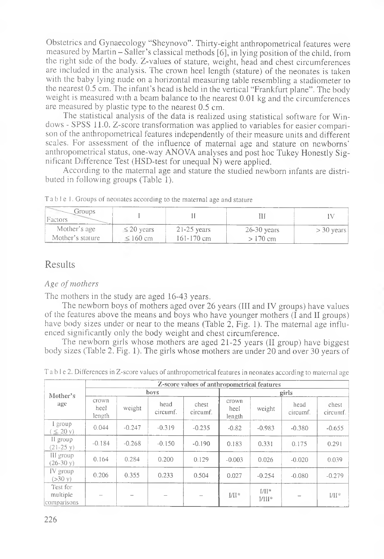Obstetrics and Gynaecology "Sheynovo". Thirty-eight anthropometrical features were measured by Martin - Sailer's classical methods [6], in lying position of the child, from the right side of the body. Z-values of stature, weight, head and chest circumferences are included in the analysis. The crown heel length (stature) of the neonates is taken with the baby lying nude on a horizontal measuring table resembling a stadiometer to the nearest 0.5 cm. The infant's head is held in the vertical "Frankfurt plane". The body weight is measured with a beam balance to the nearest 0.01 kg and the circumferences are measured by plastic type to the nearest 0.5 cm.

The statistical analysis of the data is realized using statistical software for Windows - SPSS 11.0. Z-score transformation was applied to variables for easier comparison of the anthropometrical features independently of their measure units and different scales. For assessment of the influence of maternal age and stature on newborns' anthropometrical status, one-way ANOVA analyses and post hoc Tukey Honestly Significant Difference Test (HSD-test for unequal N) were applied.

According to the maternal age and stature the studied newborn infants are distributed in following groups (Table 1).

| .<br>jrouds<br>Factors |                 |                |               |              |
|------------------------|-----------------|----------------|---------------|--------------|
| Mother's age           | $\leq$ 20 years | $21-25$ years  | $26-30$ years | $>$ 30 years |
| Mother's stature       | $\leq$ 160 cm   | $161 - 170$ cm | > 170 cm      |              |

Table 1. Groups of neonates according to the maternal age and stature

# Results

#### Age of mothers

The mothers in the study are aged 16-43 years.

The newborn boys of mothers aged over 26 years (III and IV groups) have values of the features above the means and boys who have younger mothers (I and II groups) have body sizes under or near to the means (Table 2, Fig. 1). The maternal age influenced significantly only the body weight and chest circumference.

The newborn girls whose mothers are aged 21-25 years (II group) have biggest body sizes (Table 2, Fig. 1). The girls whose mothers are under 20 and over 30 years of

| Mother's<br>age                     | Z-score values of anthropometrical features |          |                  |                   |                         |                     |                  |                   |  |
|-------------------------------------|---------------------------------------------|----------|------------------|-------------------|-------------------------|---------------------|------------------|-------------------|--|
|                                     | boys                                        |          |                  |                   | girls                   |                     |                  |                   |  |
|                                     | crown<br>heel<br>length                     | weight   | head<br>circumf. | chest<br>circumf. | crown<br>heel<br>length | weight              | head<br>circumf. | chest<br>circumf. |  |
| I group<br>$\leq$ 20 y)             | 0.044                                       | $-0.247$ | $-0.319$         | $-0.235$          | $-0.82$                 | $-0.983$            | $-0.380$         | $-0.655$          |  |
| II group<br>$(21-25 \text{ v})$     | $-0.184$                                    | $-0.268$ | $-0.150$         | $-0.190$          | 0.183                   | 0.331               | 0.175            | 0.291             |  |
| III group<br>$(26-30y)$             | 0.164                                       | 0.284    | 0.200            | 0.129             | $-0.003$                | 0.026               | $-0.020$         | 0.039             |  |
| IV group<br>$(>30 \text{ V})$       | 0.206                                       | 0.355    | 0.233            | 0.504             | 0.027                   | $-0.254$            | $-0.080$         | $-0.279$          |  |
| Test for<br>multiple<br>comparisons |                                             |          |                  |                   | $I/II^*$                | $1/11*$<br>$1/111*$ |                  | $VII*$            |  |

T a b 1 e 2. Differences in Z-score values of anthropometrical features in neonates according to maternal age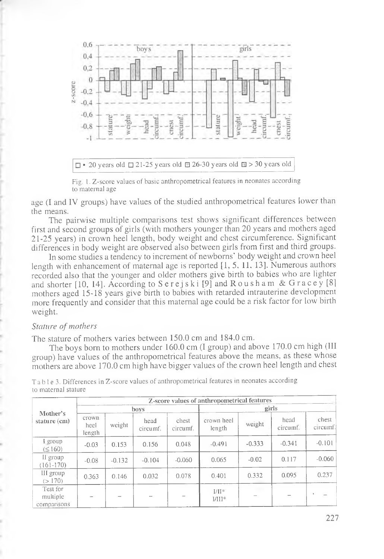

Fig. 1. Z-score values of basic anthropometrical features in neonates according to maternal age

age (I and IV groups) have values of the studied anthropometrical features lower than the means.

The pairwise multiple comparisons test shows significant differences between first and second groups of girls (with mothers younger than 20 years and mothers aged 21-25 years) in crown heel length, body weight and chest circumference. Significant differences in body weight are observed also between girls from first and third groups.

In some studies a tendency to increment of newborns' body weight and crown heel length with enhancement of maternal age is reported [1, 5, 11. 13]. Numerous authors recorded also that the younger and older mothers give birth to babies who are lighter and shorter  $[10, 14]$ . According to  $S$  erejski  $[9]$  and  $R$  oush a m & G r a c e y  $[8]$ mothers aged 15-18 years give birth to babies with retarded intrauterine development more frequently and consider that this maternal age could be a risk factor for low birth weight.

#### *Stature of mothers*

The stature of mothers varies between 150.0 cm and 184.0 cm.

The boys born to mothers under 160.0 cm (I group) and above 170.0 cm high (III group) have values of the anthropometrical features above the means, as these whose mothers are above 170.0 cm high have bigger values of the crown heel length and chest

| Mother's<br>stature (cm)            | Z-score values of anthropometrical features |                          |                  |                   |                      |           |                  |                   |  |
|-------------------------------------|---------------------------------------------|--------------------------|------------------|-------------------|----------------------|-----------|------------------|-------------------|--|
|                                     | boys                                        |                          |                  |                   | girls                |           |                  |                   |  |
|                                     | crown<br>heel<br>length                     | weight                   | head<br>circumf. | chest<br>circumf. | crown heel<br>length | weight    | head<br>circumf. | chest<br>circumf. |  |
| I group<br>$( \le 160)$             | $-0.03$                                     | 0.153                    | 0.156            | 0.048             | $-0.491$             | $-0.333$  | $-0.341$         | $-0.101$          |  |
| II group<br>$(161-170)$             | $-0.08$                                     | $-0.132$                 | $-0.104$         | $-0.060$          | 0.065                | $-0.02$   | 0.117            | $-0.060$          |  |
| III group<br>(>170)                 | 0.363                                       | 0.146                    | 0.032            | 0.078             | 0.401                | 0.332     | 0.095            | 0.237             |  |
| Test for<br>multiple<br>comparisons | $\overline{\phantom{a}}$                    | $\overline{\phantom{a}}$ |                  |                   | $U^*$<br>$1/111*$    | <b>OB</b> |                  | ٠                 |  |

T a b 1 e 3. Differences in Z-score values of anthropometrical features in neonates according to maternal stature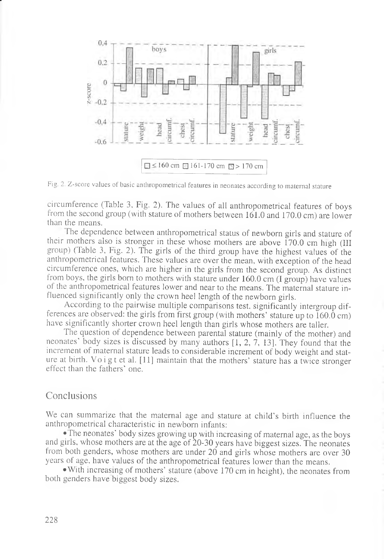

Fig. 2. Z-score values of basic anthropometrical features in neonates according to maternal stature

circumference (Table 3, Fig. 2). The values of all anthropometrical features of boys from the second group (with stature of mothers between 161.0 and 170.0 cm) are lower than the means.

The dependence between anthropometrical status of newborn girls and stature of their mothers also is stronger in these whose mothers are above 170.0 cm high (III group) (Table 3, Fig. 2). The girls of the third group have the highest values of the anthropometrical features. These values are over the mean, with exception of the head circumference ones, which are higher in the girls from the second group. As distinct from boys, the girls born to mothers with stature under 160.0 cm (I group) have values of the anthropometrical features lower and near to the means. The maternal stature influenced significantly only the crown heel length of the newborn girls.

According to the pairwise multiple comparisons test, significantly intergroup differences are observed: the girls from first group (with mothers' stature up to  $160.0$  cm) have significantly shorter crown heel length than girls whose mothers are taller.

The question of dependence between parental stature (mainly of the mother) and neonates' body sizes is discussed by many authors [1, 2, 7, 13]. They found that the increment of maternal stature leads to considerable increment of body weight and stature at birth. Voigt et al. [11] maintain that the mothers' stature has a twice stronger effect than the fathers' one.

### Conclusions

We can summarize that the maternal age and stature at child's birth influence the anthropometrical characteristic in newborn infants:

• The neonates' body sizes growing up with increasing of maternal age, as the boys and girls, whose mothers are at the age of 20-30 years have biggest sizes. The neonates from both genders, whose mothers are under 20 and girls whose mothers are over 30 years of age, have values of the anthropometrical features lower than the means.

• With increasing of mothers' stature (above 170 cm in height), the neonates from both genders have biggest body sizes.